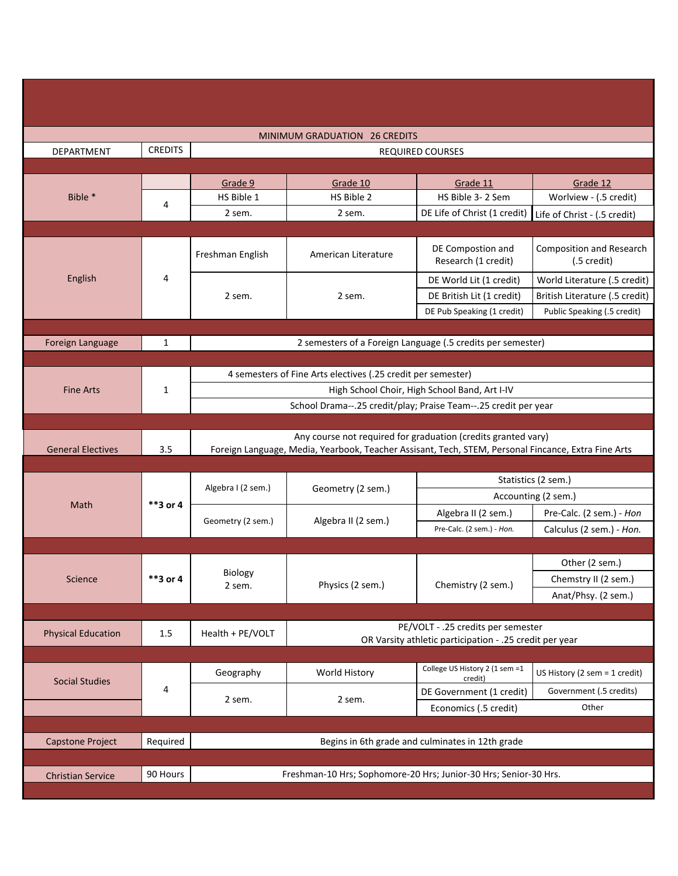| <b>MINIMUM GRADUATION 26 CREDITS</b> |                |                                                                                                                                                                      |                                                             |                                                         |                                                |  |
|--------------------------------------|----------------|----------------------------------------------------------------------------------------------------------------------------------------------------------------------|-------------------------------------------------------------|---------------------------------------------------------|------------------------------------------------|--|
| DEPARTMENT                           | <b>CREDITS</b> | REQUIRED COURSES                                                                                                                                                     |                                                             |                                                         |                                                |  |
|                                      |                |                                                                                                                                                                      |                                                             |                                                         |                                                |  |
| Bible *                              |                | Grade 9                                                                                                                                                              | Grade 10                                                    | Grade 11                                                | Grade 12                                       |  |
|                                      |                | HS Bible 1                                                                                                                                                           | HS Bible 2                                                  | HS Bible 3-2 Sem                                        | Worlview - (.5 credit)                         |  |
|                                      | 4              | 2 sem.                                                                                                                                                               | 2 sem.                                                      | DE Life of Christ (1 credit)                            | Life of Christ - (.5 credit)                   |  |
|                                      |                |                                                                                                                                                                      |                                                             |                                                         |                                                |  |
| English                              | 4              | Freshman English                                                                                                                                                     | American Literature                                         | DE Compostion and<br>Research (1 credit)                | <b>Composition and Research</b><br>(.5 credit) |  |
|                                      |                | 2 sem.                                                                                                                                                               | 2 sem.                                                      | DE World Lit (1 credit)                                 | World Literature (.5 credit)                   |  |
|                                      |                |                                                                                                                                                                      |                                                             | DE British Lit (1 credit)                               | British Literature (.5 credit)                 |  |
|                                      |                |                                                                                                                                                                      |                                                             | DE Pub Speaking (1 credit)                              | Public Speaking (.5 credit)                    |  |
|                                      |                |                                                                                                                                                                      |                                                             |                                                         |                                                |  |
| Foreign Language                     | $\mathbf{1}$   |                                                                                                                                                                      | 2 semesters of a Foreign Language (.5 credits per semester) |                                                         |                                                |  |
|                                      |                |                                                                                                                                                                      |                                                             |                                                         |                                                |  |
|                                      | 1              | 4 semesters of Fine Arts electives (.25 credit per semester)                                                                                                         |                                                             |                                                         |                                                |  |
| <b>Fine Arts</b>                     |                | High School Choir, High School Band, Art I-IV                                                                                                                        |                                                             |                                                         |                                                |  |
|                                      |                | School Drama--.25 credit/play; Praise Team--.25 credit per year                                                                                                      |                                                             |                                                         |                                                |  |
|                                      |                |                                                                                                                                                                      |                                                             |                                                         |                                                |  |
| <b>General Electives</b>             | 3.5            | Any course not required for graduation (credits granted vary)<br>Foreign Language, Media, Yearbook, Teacher Assisant, Tech, STEM, Personal Fincance, Extra Fine Arts |                                                             |                                                         |                                                |  |
|                                      |                |                                                                                                                                                                      |                                                             |                                                         |                                                |  |
| Math                                 | **3 or 4       | Algebra I (2 sem.)                                                                                                                                                   | Geometry (2 sem.)                                           | Statistics (2 sem.)                                     |                                                |  |
|                                      |                |                                                                                                                                                                      |                                                             | Accounting (2 sem.)                                     |                                                |  |
|                                      |                | Geometry (2 sem.)                                                                                                                                                    | Algebra II (2 sem.)                                         | Algebra II (2 sem.)                                     | Pre-Calc. (2 sem.) - Hon                       |  |
|                                      |                |                                                                                                                                                                      |                                                             | Pre-Calc. (2 sem.) - Hon.                               | Calculus (2 sem.) - Hon.                       |  |
|                                      |                |                                                                                                                                                                      |                                                             |                                                         |                                                |  |
| Science                              | **3 or 4       | Biology<br>2 sem.                                                                                                                                                    | Physics (2 sem.)                                            | Chemistry (2 sem.)                                      | Other (2 sem.)                                 |  |
|                                      |                |                                                                                                                                                                      |                                                             |                                                         | Chemstry II (2 sem.)                           |  |
|                                      |                |                                                                                                                                                                      |                                                             |                                                         | Anat/Phsy. (2 sem.)                            |  |
|                                      |                |                                                                                                                                                                      |                                                             |                                                         |                                                |  |
|                                      |                |                                                                                                                                                                      |                                                             | PE/VOLT - .25 credits per semester                      |                                                |  |
| <b>Physical Education</b>            | 1.5            | Health + PE/VOLT                                                                                                                                                     |                                                             | OR Varsity athletic participation - .25 credit per year |                                                |  |
|                                      |                |                                                                                                                                                                      |                                                             |                                                         |                                                |  |
|                                      | 4              | Geography                                                                                                                                                            | World History                                               | College US History 2 (1 sem =1                          | US History (2 sem = 1 credit)                  |  |
| <b>Social Studies</b>                |                |                                                                                                                                                                      |                                                             | credit)<br>DE Government (1 credit)                     | Government (.5 credits)                        |  |
|                                      |                | 2 sem.                                                                                                                                                               | 2 sem.                                                      | Economics (.5 credit)                                   | Other                                          |  |
|                                      |                |                                                                                                                                                                      |                                                             |                                                         |                                                |  |
|                                      |                |                                                                                                                                                                      |                                                             |                                                         |                                                |  |
| Capstone Project                     | Required       | Begins in 6th grade and culminates in 12th grade                                                                                                                     |                                                             |                                                         |                                                |  |
| <b>Christian Service</b>             | 90 Hours       | Freshman-10 Hrs; Sophomore-20 Hrs; Junior-30 Hrs; Senior-30 Hrs.                                                                                                     |                                                             |                                                         |                                                |  |